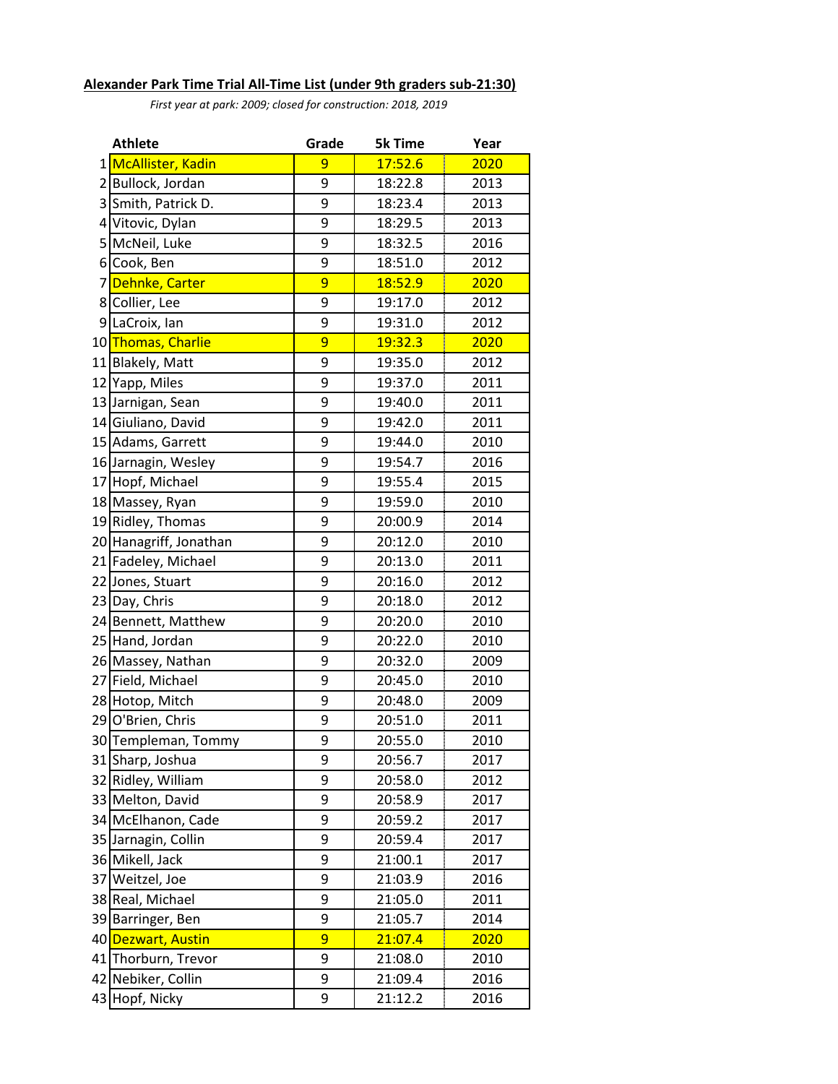## **Alexander Park Time Trial All-Time List (under 9th graders sub-21:30)**

*First year at park: 2009; closed for construction: 2018, 2019*

| <b>Athlete</b>  |                                  | Grade | <b>5k Time</b> | Year      |
|-----------------|----------------------------------|-------|----------------|-----------|
|                 | 1 <mark>McAllister, Kadin</mark> | 9     | 17:52.6        | I<br>2020 |
|                 | 2 Bullock, Jordan                | 9     | 18:22.8        | 2013      |
|                 | 3 Smith, Patrick D.              | 9     | 18:23.4        | 2013      |
| $\vert 4 \vert$ | Vitovic, Dylan                   | 9     | 18:29.5        | 2013      |
|                 | 5 McNeil, Luke                   | 9     | 18:32.5        | 2016      |
| $6 \mid$        | Cook, Ben                        | 9     | 18:51.0        | 2012      |
| 7               | Dehnke, Carter                   | 9     | 18:52.9        | 2020      |
| 8               | Collier, Lee                     | 9     | 19:17.0        | 2012      |
| 9               | LaCroix, Ian                     | 9     | 19:31.0        | 2012      |
| 10              | Thomas, Charlie                  | 9     | <u>19:32.3</u> | 2020      |
|                 | 11 Blakely, Matt                 | 9     | 19:35.0        | 2012      |
|                 | 12 Yapp, Miles                   | 9     | 19:37.0        | 2011      |
|                 | 13 Jarnigan, Sean                | 9     | 19:40.0        | 2011      |
|                 | 14 Giuliano, David               | 9     | 19:42.0        | 2011      |
|                 | 15 Adams, Garrett                | 9     | 19:44.0        | 2010      |
|                 | 16 Jarnagin, Wesley              | 9     | 19:54.7        | 2016      |
|                 | 17 Hopf, Michael                 | 9     | 19:55.4        | 2015      |
|                 | 18 Massey, Ryan                  | 9     | 19:59.0        | 2010      |
|                 | 19 Ridley, Thomas                | 9     | 20:00.9        | 2014      |
|                 | 20 Hanagriff, Jonathan           | 9     | 20:12.0        | 2010      |
|                 | 21 Fadeley, Michael              | 9     | 20:13.0        | 2011      |
|                 | 22 Jones, Stuart                 | 9     | 20:16.0        | 2012      |
|                 | 23 Day, Chris                    | 9     | 20:18.0        | 2012      |
|                 | 24 Bennett, Matthew              | 9     | 20:20.0        | 2010      |
|                 | 25 Hand, Jordan                  | 9     | 20:22.0        | 2010      |
|                 | 26 Massey, Nathan                | 9     | 20:32.0        | 2009      |
|                 | 27 Field, Michael                | 9     | 20:45.0        | 2010      |
|                 | 28 Hotop, Mitch                  | 9     | 20:48.0        | 2009      |
|                 | 29 O'Brien, Chris                | 9     | 20:51.0        | 2011      |
|                 | 30 Templeman, Tommy              | 9     | 20:55.0        | 2010      |
|                 | 31 Sharp, Joshua                 | 9     | 20:56.7        | 2017      |
|                 | 32 Ridley, William               | 9     | 20:58.0        | 2012      |
|                 | 33 Melton, David                 | 9     | 20:58.9        | 2017      |
|                 | 34 McElhanon, Cade               | 9     | 20:59.2        | 2017      |
| 35              | Jarnagin, Collin                 | 9     | 20:59.4        | 2017      |
|                 | 36 Mikell, Jack                  | 9     | 21:00.1        | 2017      |
|                 | 37 Weitzel, Joe                  | 9     | 21:03.9        | 2016      |
|                 | 38 Real, Michael                 | 9     | 21:05.0        | 2011      |
|                 | 39 Barringer, Ben                | 9     | 21:05.7        | 2014      |
|                 | 40 Dezwart, Austin               | 9     | 21:07.4        | 2020      |
|                 | 41 Thorburn, Trevor              | 9     | 21:08.0        | 2010      |
|                 | 42 Nebiker, Collin               | 9     | 21:09.4        | 2016      |
|                 | 43 Hopf, Nicky                   | 9     | 21:12.2        | 2016      |